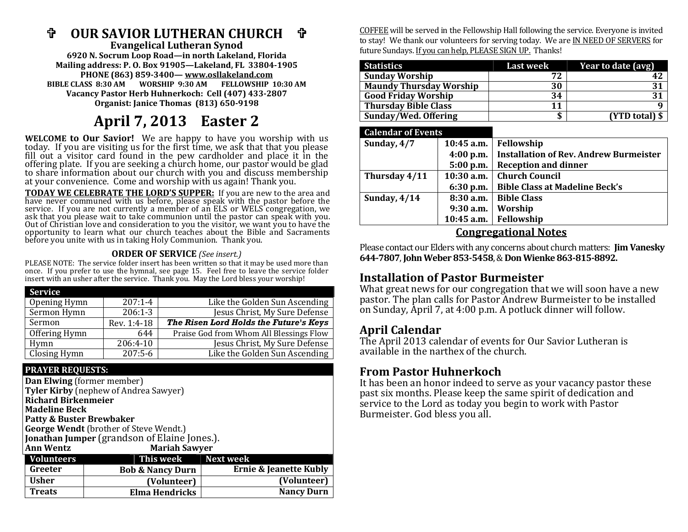# <sup>5</sup> OUR SAVIOR LUTHERAN CHURCH - 令<br>Evangelical Lutheran Synod

**Evangelical Lutheran Synod 6920 N. Socrum Loop Road—in north Lakeland, Florida Mailing address: P. O. Box 91905—Lakeland, FL 33804-1905 PHONE (863) 859-3400— www.osllakeland.com BIBLE CLASS 8:30 AM WORSHIP 9:30 AM FELLOWSHIP 10:30 AM Vacancy Pastor Herb Huhnerkoch: Cell (407) 433-2807 Organist: Janice Thomas (813) 650-9198** 

## **April 7, 2013 Easter 2**

**WELCOME to Our Savior!** We are happy to have you worship with us today. If you are visiting us for the first time, we ask that that you please fill out a visitor card found in the pew cardholder and place it in the offeri at your convenience. Come and worship with us again! Thank you.

 **TODAY WE CELEBRATE THE LORD'S SUPPER:TODAT WE CELEDATE THE LOND 3 SOFTER.** If you are new to the area and have never communed with us before, please speak with the pastor before the service. If you are not currently a member of an ELS or WELS congregation, w

#### **ORDER OF SERVICE** *(See insert.)*

 PLEASE NOTE: The service folder insert has been written so that it may be used more than once. If you prefer to use the hymnal, see page 15. Feel free to leave the service folder insert with an usher after the service. Thank you. May the Lord bless your worship!

| <b>Service</b> |             |                                         |
|----------------|-------------|-----------------------------------------|
| Opening Hymn   | $207:1 - 4$ | Like the Golden Sun Ascending           |
| Sermon Hymn    | $206:1-3$   | Jesus Christ, My Sure Defense           |
| Sermon         | Rev. 1:4-18 | The Risen Lord Holds the Future's Keys  |
| Offering Hymn  | 644         | Praise God from Whom All Blessings Flow |
| Hymn           | 206:4-10    | Jesus Christ, My Sure Defense           |
| Closing Hymn   | $207:5-6$   | Like the Golden Sun Ascending           |

#### **PRAYER REQUESTS:**

| Dan Elwing (former member)                    |                             |                                   |  |  |
|-----------------------------------------------|-----------------------------|-----------------------------------|--|--|
| Tyler Kirby (nephew of Andrea Sawyer)         |                             |                                   |  |  |
| <b>Richard Birkenmeier</b>                    |                             |                                   |  |  |
| <b>Madeline Beck</b>                          |                             |                                   |  |  |
| <b>Patty &amp; Buster Brewbaker</b>           |                             |                                   |  |  |
| <b>George Wendt</b> (brother of Steve Wendt.) |                             |                                   |  |  |
| Jonathan Jumper (grandson of Elaine Jones.).  |                             |                                   |  |  |
| <b>Ann Wentz</b>                              | <b>Mariah Sawyer</b>        |                                   |  |  |
| <b>Volunteers</b>                             | This week                   | <b>Next week</b>                  |  |  |
| Greeter                                       | <b>Bob &amp; Nancy Durn</b> | <b>Ernie &amp; Jeanette Kubly</b> |  |  |
| <b>Usher</b>                                  | (Volunteer)                 | (Volunteer)                       |  |  |
| <b>Treats</b>                                 | <b>Elma Hendricks</b>       | <b>Nancy Durn</b>                 |  |  |

COFFEE will be served in the Fellowship Hall following the service. Everyone is invited to stay! We thank our volunteers for serving today. We are IN NEED OF SERVERS for future Sundays. If you can help, PLEASE SIGN UP. Thanks!

| <b>Statistics</b>              | Last week | Year to date (avg) |
|--------------------------------|-----------|--------------------|
| <b>Sunday Worship</b>          | 72        |                    |
| <b>Maundy Thursday Worship</b> | 30        |                    |
| <b>Good Friday Worship</b>     | 34        | 31                 |
| <b>Thursday Bible Class</b>    | 11        |                    |
| Sunday/Wed. Offering           | J         | (YTD total) \$     |

#### **Calendar of Events**

| Sunday, 4/7                                    |             | 10:45 a.m.   Fellowship                            |
|------------------------------------------------|-------------|----------------------------------------------------|
|                                                |             | 4:00 p.m.   Installation of Rev. Andrew Burmeister |
|                                                | 5:00 p.m.   | <b>Reception and dinner</b>                        |
| Thursday 4/11                                  |             | 10:30 a.m.   Church Council                        |
|                                                |             | 6:30 p.m.   Bible Class at Madeline Beck's         |
| Sunday, $4/14$                                 |             | 8:30 a.m.   Bible Class                            |
|                                                | $9:30$ a.m. | Worship                                            |
|                                                |             | 10:45 a.m.   Fellowship                            |
| $\sim$ $\cdot$ $\cdot$ $\cdot$ $\cdot$ $\cdot$ |             |                                                    |

#### **Congregational Notes**

Please contact our Elders with any concerns about church matters: **Jim Vanesky 644-7807**, **John Weber 853-5458**, & **Don Wienke 863-815-8892.**

### **Installation of Pastor Burmeister**

 What great news for our congregation that we will soon have a new pastor. The plan calls for Pastor Andrew Burmeister to be installed on Sunday, April 7, at 4:00 p.m. A potluck dinner will follow.

### **April Calendar**

 The April 2013 calendar of events for Our Savior Lutheran is available in the narthex of the church.

### **From Pastor Huhnerkoch**

 It has been an honor indeed to serve as your vacancy pastor these past six months. Please keep the same spirit of dedication and service to the Lord as today you begin to work with Pastor Burmeister. God bless you all.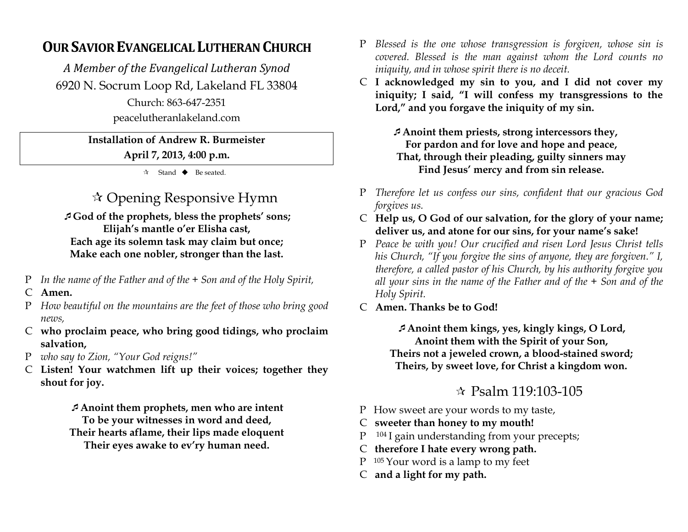## **OUR SAVIOR EVANGELICAL LUTHERAN CHURCH**

*A Member of the Evangelical Lutheran Synod* 6920 N. Socrum Loop Rd, Lakeland FL 33804

> Church: 863-647-2351 peacelutheranlakeland.com

#### **Installation of Andrew R. Burmeister**

**April 7, 2013, 4:00 p.m.** 

 $\star$  Stand  $\bullet$  Be seated.

# Opening Responsive Hymn

**God of the prophets, bless the prophets' sons; Elijah's mantle o'er Elisha cast, Each age its solemn task may claim but once; Make each one nobler, stronger than the last.**

- <sup>P</sup>*In the name of the Father and of the + Son and of the Holy Spirit,*
- C **Amen.**
- <sup>P</sup>*How beautiful on the mountains are the feet of those who bring good news,*
- C **who proclaim peace, who bring good tidings, who proclaim salvation,**
- <sup>P</sup>*who say to Zion, "Your God reigns!"*
- C **Listen! Your watchmen lift up their voices; together they shout for joy.**

**Anoint them prophets, men who are intent To be your witnesses in word and deed, Their hearts aflame, their lips made eloquent Their eyes awake to ev'ry human need.** 

- <sup>P</sup>*Blessed is the one whose transgression is forgiven, whose sin is covered. Blessed is the man against whom the Lord counts no iniquity, and in whose spirit there is no deceit.*
- C **I acknowledged my sin to you, and I did not cover my iniquity; I said, "I will confess my transgressions to the Lord," and you forgave the iniquity of my sin.**

**Anoint them priests, strong intercessors they, For pardon and for love and hope and peace, That, through their pleading, guilty sinners may Find Jesus' mercy and from sin release.** 

- <sup>P</sup>*Therefore let us confess our sins, confident that our gracious God forgives us.*
- C **Help us, O God of our salvation, for the glory of your name; deliver us, and atone for our sins, for your name's sake!**
- <sup>P</sup>*Peace be with you! Our crucified and risen Lord Jesus Christ tells his Church, "If you forgive the sins of anyone, they are forgiven." I, therefore, a called pastor of his Church, by his authority forgive you all your sins in the name of the Father and of the + Son and of the Holy Spirit.*
- C **Amen. Thanks be to God!**

**Anoint them kings, yes, kingly kings, O Lord, Anoint them with the Spirit of your Son, Theirs not a jeweled crown, a blood-stained sword; Theirs, by sweet love, for Christ a kingdom won.** 

# $\approx$  Psalm 119:103-105

- P How sweet are your words to my taste,
- C **sweeter than honey to my mouth!**
- $P<sup>-104</sup>I$  gain understanding from your precepts;
- C **therefore I hate every wrong path.**
- P $105$  Your word is a lamp to my feet
- C **and a light for my path.**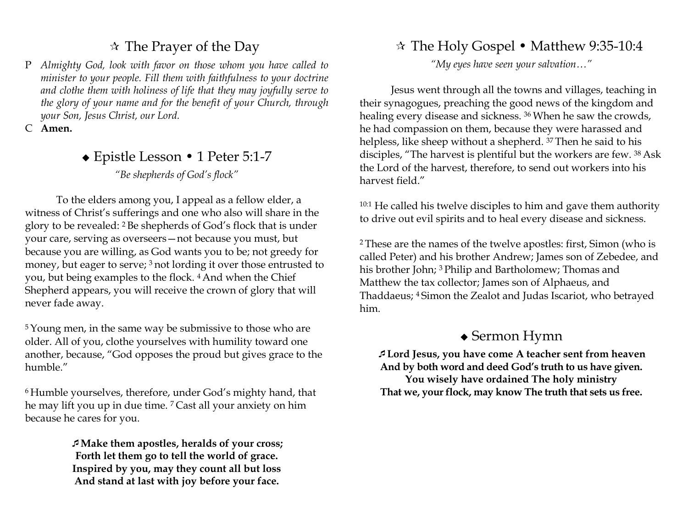# $\star$  The Prayer of the Day

<sup>P</sup>*Almighty God, look with favor on those whom you have called to minister to your people. Fill them with faithfulness to your doctrine and clothe them with holiness of life that they may joyfully serve to the glory of your name and for the benefit of your Church, through your Son, Jesus Christ, our Lord.* 

C **Amen.** 

### Epistle Lesson • 1 Peter 5:1-7 *"Be shepherds of God's flock"*

 To the elders among you, I appeal as a fellow elder, a witness of Christ's sufferings and one who also will share in the glory to be revealed: 2 Be shepherds of God's flock that is under your care, serving as overseers—not because you must, but because you are willing, as God wants you to be; not greedy for money, but eager to serve; <sup>3</sup> not lording it over those entrusted to you, but being examples to the flock. 4 And when the Chief Shepherd appears, you will receive the crown of glory that will never fade away.

<sup>5</sup> Young men, in the same way be submissive to those who are older. All of you, clothe yourselves with humility toward one another, because, "God opposes the proud but gives grace to the humble."

<sup>6</sup>Humble yourselves, therefore, under God's mighty hand, that he may lift you up in due time. 7 Cast all your anxiety on him because he cares for you.

> **Make them apostles, heralds of your cross; Forth let them go to tell the world of grace. Inspired by you, may they count all but loss And stand at last with joy before your face.**

# The Holy Gospel • Matthew 9:35-10:4

*"My eyes have seen your salvation…"* 

 Jesus went through all the towns and villages, teaching in their synagogues, preaching the good news of the kingdom and healing every disease and sickness. 36 When he saw the crowds, he had compassion on them, because they were harassed and helpless, like sheep without a shepherd. 37 Then he said to his disciples, "The harvest is plentiful but the workers are few. 38 Ask the Lord of the harvest, therefore, to send out workers into his harvest field."

10:1 He called his twelve disciples to him and gave them authority to drive out evil spirits and to heal every disease and sickness.

<sup>2</sup>These are the names of the twelve apostles: first, Simon (who is called Peter) and his brother Andrew; James son of Zebedee, and his brother John; <sup>3</sup> Philip and Bartholomew; Thomas and Matthew the tax collector; James son of Alphaeus, and Thaddaeus; 4 Simon the Zealot and Judas Iscariot, who betrayed him.

## ◆ Sermon Hymn

**Lord Jesus, you have come A teacher sent from heavenAnd by both word and deed God's truth to us have given.** 

**You wisely have ordained The holy ministry That we, your flock, may know The truth that sets us free.**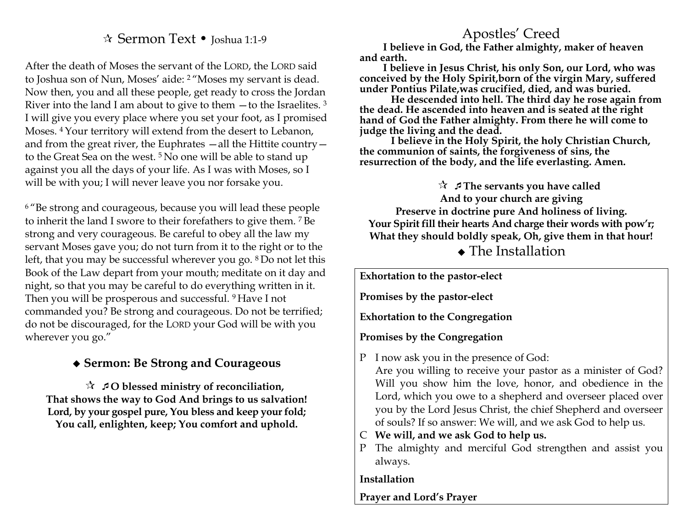## Sermon Text • Joshua 1:1-9

After the death of Moses the servant of the LORD, the LORD said to Joshua son of Nun, Moses' aide: 2 "Moses my servant is dead. Now then, you and all these people, get ready to cross the Jordan River into the land I am about to give to them  $-$  to the Israelites.<sup>3</sup> I will give you every place where you set your foot, as I promised Moses. <sup>4</sup>Your territory will extend from the desert to Lebanon, and from the great river, the Euphrates  $-\text{all}$  the Hittite country  $-\text{all}$ to the Great Sea on the west.<sup>5</sup> No one will be able to stand up against you all the days of your life. As I was with Moses, so I will be with you; I will never leave you nor forsake you.

<sup>6</sup>"Be strong and courageous, because you will lead these people to inherit the land I swore to their forefathers to give them. <sup>7</sup>Be strong and very courageous. Be careful to obey all the law my servant Moses gave you; do not turn from it to the right or to the left, that you may be successful wherever you go. 8 Do not let this Book of the Law depart from your mouth; meditate on it day and night, so that you may be careful to do everything written in it. Then you will be prosperous and successful. <sup>9</sup>Have I not commanded you? Be strong and courageous. Do not be terrified; do not be discouraged, for the LORD your God will be with you wherever you go."

### **Sermon: Be Strong and Courageous**

**O blessed ministry of reconciliation, That shows the way to God And brings to us salvation! Lord, by your gospel pure, You bless and keep your fold; You call, enlighten, keep; You comfort and uphold.**

### Apostles' Creed

**I believe in God, the Father almighty, maker of heaven and earth.** 

 **I believe in Jesus Christ, his only Son, our Lord, who was conceived by the Holy Spirit,born of the virgin Mary, suffered under Pontius Pilate,was crucified, died, and was buried.** 

  **He descended into hell. The third day he rose again from the dead. He ascended into heaven and is seated at the right hand of God the Father almighty. From there he will come to judge the living and the dead.** 

 **I believe in the Holy Spirit, the holy Christian Church, the communion of saints, the forgiveness of sins, theresurrection of the body, and the life everlasting. Amen.** 

**The servants you have called And to your church are giving Preserve in doctrine pure And holiness of living. Your Spirit fill their hearts And charge their words with pow'r; What they should boldly speak, Oh, give them in that hour!** 

• The Installation

**Exhortation to the pastor-elect** 

**Promises by the pastor-elect** 

**Exhortation to the Congregation** 

**Promises by the Congregation** 

P I now ask you in the presence of God:

 Are you willing to receive your pastor as a minister of God? Will you show him the love, honor, and obedience in the Lord, which you owe to a shepherd and overseer placed over you by the Lord Jesus Christ, the chief Shepherd and overseer of souls? If so answer: We will, and we ask God to help us.

- C **We will, and we ask God to help us.**
- P The almighty and merciful God strengthen and assist you always.

### **Installation**

### **Prayer and Lord's Prayer**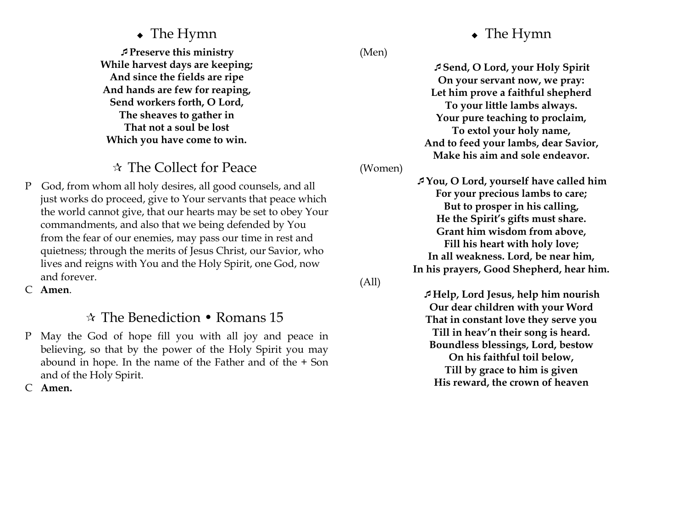### • The Hymn

**Preserve this ministry While harvest days are keeping; And since the fields are ripe And hands are few for reaping, Send workers forth, O Lord, The sheaves to gather in That not a soul be lost Which you have come to win.** 

# $\star$  The Collect for Peace

P God, from whom all holy desires, all good counsels, and all just works do proceed, give to Your servants that peace which the world cannot give, that our hearts may be set to obey Your commandments, and also that we being defended by You from the fear of our enemies, may pass our time in rest and quietness; through the merits of Jesus Christ, our Savior, who lives and reigns with You and the Holy Spirit, one God, now and forever.

C **Amen**.

## The Benediction • Romans 15

P May the God of hope fill you with all joy and peace in believing, so that by the power of the Holy Spirit you may abound in hope. In the name of the Father and of the + Son and of the Holy Spirit.

C **Amen.** 

• The Hymn

(Men)

**Send, O Lord, your Holy Spirit On your servant now, we pray: Let him prove a faithful shepherd To your little lambs always. Your pure teaching to proclaim, To extol your holy name, And to feed your lambs, dear Savior, Make his aim and sole endeavor.** 

(Women)

**You, O Lord, yourself have called him For your precious lambs to care; But to prosper in his calling, He the Spirit's gifts must share. Grant him wisdom from above, Fill his heart with holy love; In all weakness. Lord, be near him, In his prayers, Good Shepherd, hear him.** 

(All)

**Help, Lord Jesus, help him nourish Our dear children with your Word That in constant love they serve you Till in heav'n their song is heard. Boundless blessings, Lord, bestow On his faithful toil below, Till by grace to him is given His reward, the crown of heaven**